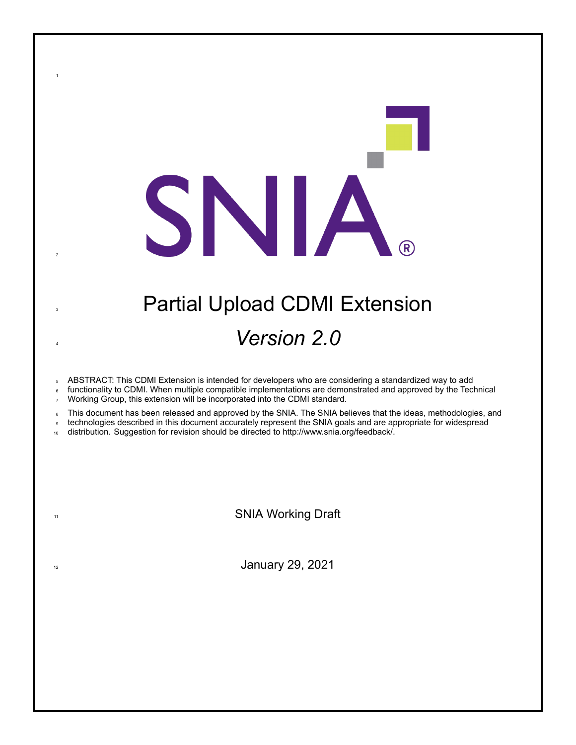# **3 Partial Upload CDMI Extension** *Version 2.0*

SNIA.

ABSTRACT: This CDMI Extension is intended for developers who are considering a standardized way to add

 functionality to CDMI. When multiple compatible implementations are demonstrated and approved by the Technical Working Group, this extension will be incorporated into the CDMI standard.

8 This document has been released and approved by the SNIA. The SNIA believes that the ideas, methodologies, and

technologies described in this document accurately represent the SNIA goals and are appropriate for widespread

distribution. Suggestion for revision should be directed to http://www.snia.org/feedback/.

11 SNIA Working Draft

 $\frac{1}{12}$  January 29, 2021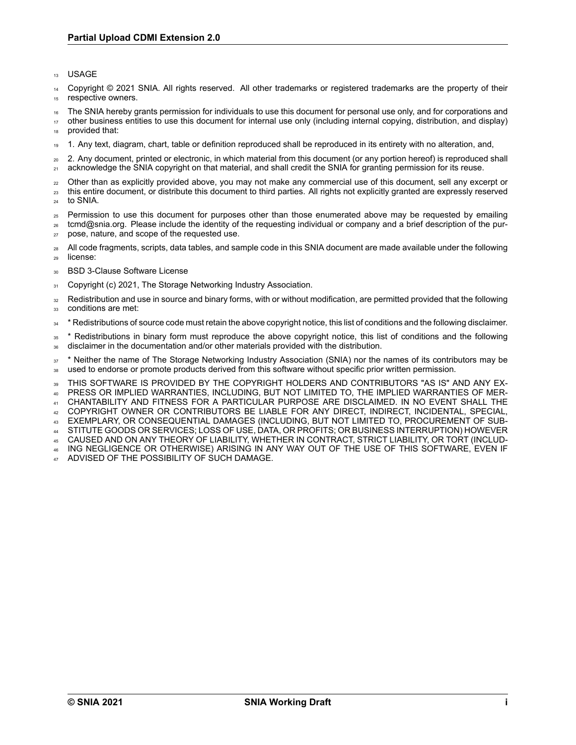#### <sup>13</sup> USAGE

<sup>14</sup> Copyright © 2021 SNIA. All rights reserved. All other trademarks or registered trademarks are the property of their 15 respective owners.

<sup>16</sup> The SNIA hereby grants permission for individuals to use this document for personal use only, and for corporations and

<sup>17</sup> other business entities to use this document for internal use only (including internal copying, distribution, and display) provided that:

<sup>19</sup> 1. Any text, diagram, chart, table or definition reproduced shall be reproduced in its entirety with no alteration, and,

<sup>20</sup> 2. Any document, printed or electronic, in which material from this document (or any portion hereof) is reproduced shall <sub>21</sub> acknowledge the SNIA copyright on that material, and shall credit the SNIA for granting permission for its reuse.

- <sub>22</sub> Other than as explicitly provided above, you may not make any commercial use of this document, sell any excerpt or <sup>23</sup> this entire document, or distribute this document to third parties. All rights not explicitly granted are expressly reserved
- <sup>24</sup> to SNIA.
- <sup>25</sup> Permission to use this document for purposes other than those enumerated above may be requested by emailing <sup>26</sup> tcmd@snia.org. Please include the identity of the requesting individual or company and a brief description of the pur-
- <sup>27</sup> pose, nature, and scope of the requested use.
- 28 All code fragments, scripts, data tables, and sample code in this SNIA document are made available under the following <sup>29</sup> license:
- 30 BSD 3-Clause Software License
- 31 Copyright (c) 2021, The Storage Networking Industry Association.
- <sup>32</sup> Redistribution and use in source and binary forms, with or without modification, are permitted provided that the following 33 conditions are met:
- <sup>34</sup> \* Redistributions of source code must retain the above copyright notice, this list of conditions and the following disclaimer.
- <sup>35</sup> \* Redistributions in binary form must reproduce the above copyright notice, this list of conditions and the following <sup>36</sup> disclaimer in the documentation and/or other materials provided with the distribution.

<sup>37</sup> \* Neither the name of The Storage Networking Industry Association (SNIA) nor the names of its contributors may be <sup>38</sup> used to endorse or promote products derived from this software without specific prior written permission.

<sup>39</sup> THIS SOFTWARE IS PROVIDED BY THE COPYRIGHT HOLDERS AND CONTRIBUTORS "AS IS" AND ANY EX-<sup>40</sup> PRESS OR IMPLIED WARRANTIES, INCLUDING, BUT NOT LIMITED TO, THE IMPLIED WARRANTIES OF MER-

<sup>41</sup> CHANTABILITY AND FITNESS FOR A PARTICULAR PURPOSE ARE DISCLAIMED. IN NO EVENT SHALL THE

- <sup>42</sup> COPYRIGHT OWNER OR CONTRIBUTORS BE LIABLE FOR ANY DIRECT, INDIRECT, INCIDENTAL, SPECIAL,
- <sup>43</sup> EXEMPLARY, OR CONSEQUENTIAL DAMAGES (INCLUDING, BUT NOT LIMITED TO, PROCUREMENT OF SUB-
- <sup>44</sup> STITUTE GOODS OR SERVICES; LOSS OF USE, DATA, OR PROFITS; OR BUSINESS INTERRUPTION) HOWEVER
- <sup>45</sup> CAUSED AND ON ANY THEORY OF LIABILITY, WHETHER IN CONTRACT, STRICT LIABILITY, OR TORT (INCLUD-<sup>46</sup> ING NEGLIGENCE OR OTHERWISE) ARISING IN ANY WAY OUT OF THE USE OF THIS SOFTWARE, EVEN IF
- ADVISED OF THE POSSIBILITY OF SUCH DAMAGE.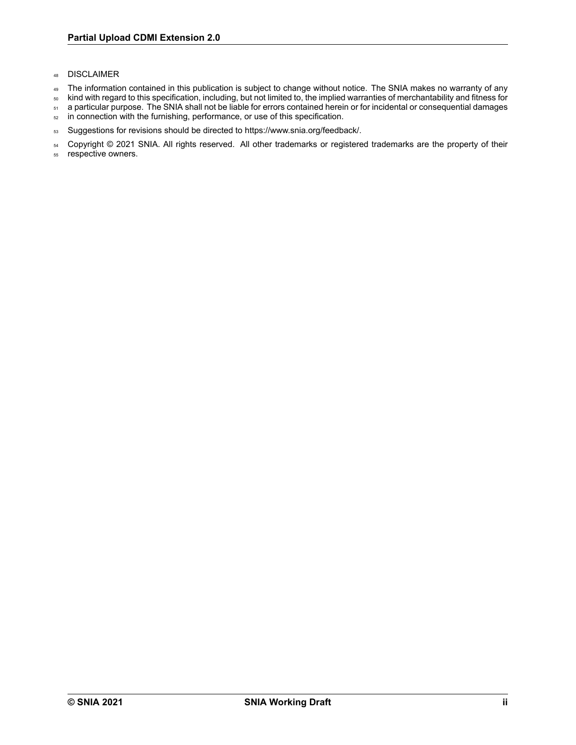#### <sup>48</sup> DISCLAIMER

- 49 The information contained in this publication is subject to change without notice. The SNIA makes no warranty of any
- <sup>50</sup> kind with regard to this specification, including, but not limited to, the implied warranties of merchantability and fitness for
- 51 a particular purpose. The SNIA shall not be liable for errors contained herein or for incidental or consequential damages
- 52 in connection with the furnishing, performance, or use of this specification.
- 53 Suggestions for revisions should be directed to https://www.snia.org/feedback/.

54 Copyright © 2021 SNIA. All rights reserved. All other trademarks or registered trademarks are the property of their

<sup>55</sup> respective owners.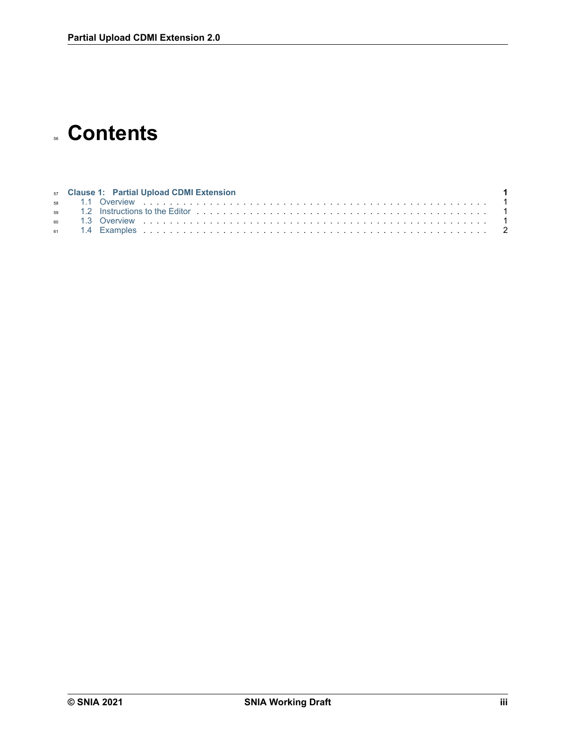## **Contents**

|  | 57 Clause 1: Partial Upload CDMI Extension |  |
|--|--------------------------------------------|--|
|  |                                            |  |
|  |                                            |  |
|  |                                            |  |
|  |                                            |  |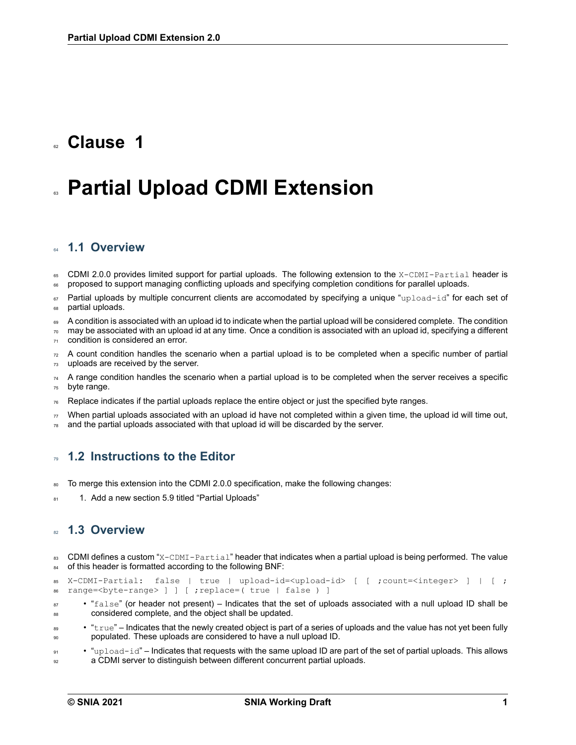### <span id="page-4-0"></span><sup>62</sup> **Clause 1**

### **Partial Upload CDMI Extension**

### <span id="page-4-1"></span><sup>64</sup> **1.1 Overview**

- CDMI 2.0.0 provides limited support for partial uploads. The following extension to the X-CDMI-Partial header is <sup>66</sup> proposed to support managing conflicting uploads and specifying completion conditions for parallel uploads.
- $67$  Partial uploads by multiple concurrent clients are accomodated by specifying a unique "upload-id" for each set of 68 partial uploads.
- A condition is associated with an upload id to indicate when the partial upload will be considered complete. The condition
- $\pi$  may be associated with an upload id at any time. Once a condition is associated with an upload id, specifying a different  $71$  condition is considered an error.
- $72$  A count condition handles the scenario when a partial upload is to be completed when a specific number of partial 73 uploads are received by the server.
- $74$  A range condition handles the scenario when a partial upload is to be completed when the server receives a specific <sup>75</sup> byte range.
- Replace indicates if the partial uploads replace the entire object or just the specified byte ranges.
- $\pi$  When partial uploads associated with an upload id have not completed within a given time, the upload id will time out,
- $78$  and the partial uploads associated with that upload id will be discarded by the server.

### <span id="page-4-2"></span><sup>79</sup> **1.2 Instructions to the Editor**

- <sup>80</sup> To merge this extension into the CDMI 2.0.0 specification, make the following changes:
- 1. Add a new section 5.9 titled "Partial Uploads"

### <span id="page-4-3"></span><sup>82</sup> **1.3 Overview**

- $83$  CDMI defines a custom "X-CDMI-Partial" header that indicates when a partial upload is being performed. The value
- 84 of this header is formatted according to the following BNF:

```
85 X-CDMI-Partial: false | true | upload-id=<upload-id> [ [ ;count=<integer> ] | [ ;
86 range=<byterange> ] ] [ ;replace=( true | false ) ]
```
- $\bullet$  " $\pm$ alse" (or header not present) Indicates that the set of uploads associated with a null upload ID shall be 88 considered complete, and the object shall be updated.
- "true" Indicates that the newly created object is part of a series of uploads and the value has not yet been fully <sup>90</sup> populated. These uploads are considered to have a null upload ID.
- $\bullet$  "upload-id" Indicates that requests with the same upload ID are part of the set of partial uploads. This allows <sup>92</sup> a CDMI server to distinguish between different concurrent partial uploads.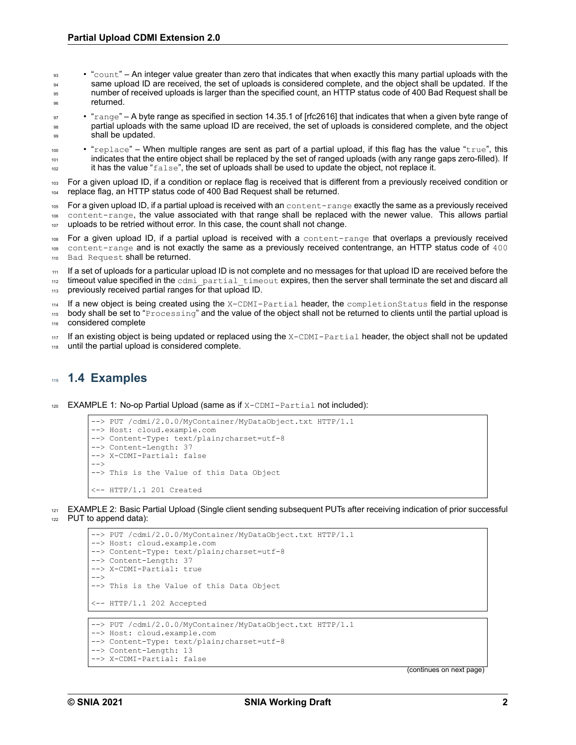<sup>93</sup> • "count" – An integer value greater than zero that indicates that when exactly this many partial uploads with the same upload ID are received, the set of uploads is considered complete, and the object shall be updated. If the <sup>95</sup> number of received uploads is larger than the specified count, an HTTP status code of 400 Bad Request shall be

- <sup>96</sup> returned.
- $\bullet$  "range" A byte range as specified in section 14.35.1 of [rfc2616] that indicates that when a given byte range of <sup>98</sup> partial uploads with the same upload ID are received, the set of uploads is considered complete, and the object 99 shall be updated.
- <sup>100</sup> "replace" When multiple ranges are sent as part of a partial upload, if this flag has the value "true", this 101 indicates that the entire object shall be replaced by the set of ranged uploads (with any range gaps zero-filled). If <sup>102</sup> it has the value "false", the set of uploads shall be used to update the object, not replace it.

<sup>103</sup> For a given upload ID, if a condition or replace flag is received that is different from a previously received condition or <sup>104</sup> replace flag, an HTTP status code of 400 Bad Request shall be returned.

 $105$  For a given upload ID, if a partial upload is received with an content-range exactly the same as a previously received 106 content-range, the value associated with that range shall be replaced with the newer value. This allows partial <sup>107</sup> uploads to be retried without error. In this case, the count shall not change.

108 For a given upload ID, if a partial upload is received with a content-range that overlaps a previously received 109 content-range and is not exactly the same as a previously received contentrange, an HTTP status code of 400 110 Bad Request shall be returned.

 $111$  If a set of uploads for a particular upload ID is not complete and no messages for that upload ID are received before the  $112$  timeout value specified in the cdmi partial timeout expires, then the server shall terminate the set and discard all  $113$  previously received partial ranges for that upload ID.

114 If a new object is being created using the X-CDMI-Partial header, the completionStatus field in the response

115 body shall be set to "Processing" and the value of the object shall not be returned to clients until the partial upload is 116 considered complete

117 If an existing object is being updated or replaced using the X-CDMI-Partial header, the object shall not be updated until the partial upload is considered complete.

### <span id="page-5-0"></span><sup>119</sup> **1.4 Examples**

 $120$  EXAMPLE 1: No-op Partial Upload (same as if  $X-CDMI-Partial$  not included):

```
--> PUT /cdmi/2.0.0/MyContainer/MyDataObject.txt HTTP/1.1
--> Host: cloud.example.com
--> Content-Type: text/plain; charset=utf-8
--> Content-Length: 37
\leftarrow X-CDMI-Partial: false
\rightarrow--> This is the Value of this Data Object
<- HTTP/1.1 201 Created
```
<sup>121</sup> EXAMPLE 2: Basic Partial Upload (Single client sending subsequent PUTs after receiving indication of prior successful  $122$  PUT to append data):

```
--> PUT /cdmi/2.0.0/MyContainer/MyDataObject.txt HTTP/1.1
--> Host: cloud.example.com
--> Content-Type: text/plain; charset=utf-8
--> Content-Length: 37
--> X-CDMI-Partial: true
--&--> This is the Value of this Data Object
<- HTTP/1.1 202 Accepted
```

```
--> PUT /cdmi/2.0.0/MyContainer/MyDataObject.txt HTTP/1.1
```

```
--> Host: cloud.example.com
```

```
--> Content-Type: text/plain; charset=utf-8
```

```
--> Content-Length: 13
--> X-CDMI-Partial: false
```
(continues on next page)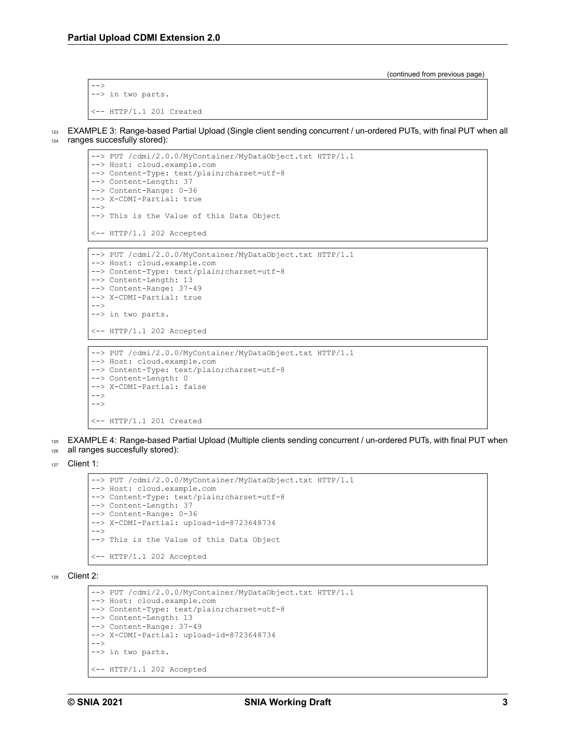(continued from previous page)

```
--&--> in two parts.
< HTTP/1.1 201 Created
```
123 EXAMPLE 3: Range-based Partial Upload (Single client sending concurrent / un-ordered PUTs, with final PUT when all <sup>124</sup> ranges succesfully stored):



 $<-$  HTTP/1.1 201 Created

 $125$  EXAMPLE 4: Range-based Partial Upload (Multiple clients sending concurrent / un-ordered PUTs, with final PUT when 126 all ranges succesfully stored):

<sup>127</sup> Client 1:

```
--> PUT /cdmi/2.0.0/MyContainer/MyDataObject.txt HTTP/1.1
--> Host: cloud.example.com
--> Content-Type: text/plain; charset=utf-8
--> Content-Length: 37
--> Content-Range: 0-36
--> X-CDMI-Partial: upload-id=8723648734
\rightarrow--> This is the Value of this Data Object
<-- HTTP/1.1 202 Accepted
```
<sup>128</sup> Client 2:

```
--> PUT / cdmi/2.0.0/MyContainer/MyDataObject.txt HTTP/1.1
--> Host: cloud.example.com
--> Content-Type: text/plain; charset=utf-8
--> Content-Length: 13
--> Content-Range: 37-49
--> X-CDMI-Partial: upload-id=8723648734
--&--> in two parts.
<-- HTTP/1.1 202 Accepted
```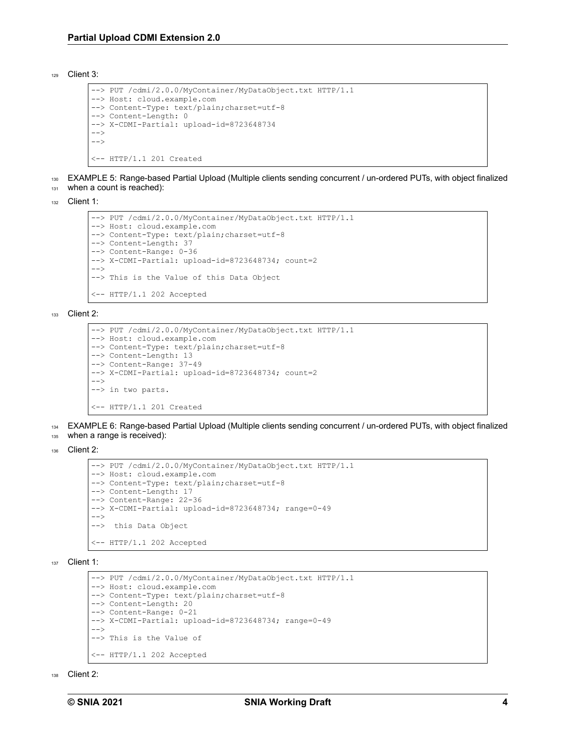<sup>129</sup> Client 3:

```
--> PUT / cdmi/2.0.0/MyContainer/MyDataObject.txt HTTP/1.1
--> Host: cloud.example.com
--> Content-Type: text/plain; charset=utf-8
--> Content-Length: 0
--> X-CDMI-Partial: upload-id=8723648734
\rightarrow\rightarrow<- HTTP/1.1 201 Created
```
EXAMPLE 5: Range-based Partial Upload (Multiple clients sending concurrent / un-ordered PUTs, with object finalized <sup>131</sup> when a count is reached):

```
132 Client 1:
```

```
--> PUT /cdmi/2.0.0/MyContainer/MyDataObject.txt HTTP/1.1
--> Host: cloud.example.com
--> Content-Type: text/plain; charset=utf-8
--> Content-Length: 37
--> Content-Range: 0-36
--> X-CDMI-Partial: upload-id=8723648734; count=2
\rightarrow--> This is the Value of this Data Object
<-- HTTP/1.1 202 Accepted
```
 $133$  Client 2:

```
--> PUT /cdmi/2.0.0/MyContainer/MyDataObject.txt HTTP/1.1
--> Host: cloud.example.com
--> Content-Type: text/plain; charset=utf-8
--> Content-Length: 13
--> Content-Range: 37-49
--> X-CDMI-Partial: upload-id=8723648734; count=2
\rightarrow--> in two parts.
<-- HTTP/1.1 201 Created
```
EXAMPLE 6: Range-based Partial Upload (Multiple clients sending concurrent / un-ordered PUTs, with object finalized  $135$  when a range is received):

<sup>136</sup> Client 2:

```
--> PUT /cdmi/2.0.0/MyContainer/MyDataObject.txt HTTP/1.1
--> Host: cloud.example.com
--> Content-Type: text/plain; charset=utf-8
--> Content-Length: 17
--> Content-Range: 22-36
--> X-CDMI-Partial: upload-id=8723648734; range=0-49
\Rightarrow--> this Data Object
<-- HTTP/1.1 202 Accepted
```
<sup>137</sup> Client 1:

```
--> PUT / cdmi/2.0.0/MyContainer/MyDataObject.txt HTTP/1.1
--> Host: cloud.example.com
--> Content-Type: text/plain; charset=utf-8
--> Content-Length: 20
--> Content-Range: 0-21
--> X-CDMI-Partial: upload-id=8723648734; range=0-49
\rightarrow--> This is the Value of
<-- HTTP/1.1 202 Accepted
```
<sup>138</sup> Client 2: